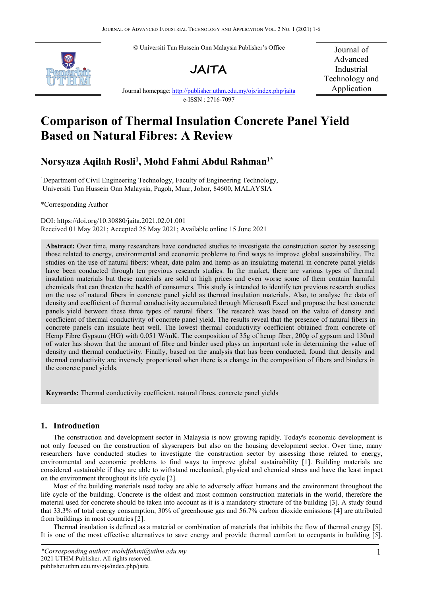© Universiti Tun Hussein Onn Malaysia Publisher's Office





Journal of Advanced Industrial Technology and Application

Journal homepage: <http://publisher.uthm.edu.my/ojs/index.php/jaita> e-ISSN : 2716-7097

# **Comparison of Thermal Insulation Concrete Panel Yield Based on Natural Fibres: A Review**

# **Norsyaza Aqilah Rosli<sup>1</sup> , Mohd Fahmi Abdul Rahman 1\***

<sup>1</sup>Department of Civil Engineering Technology, Faculty of Engineering Technology, Universiti Tun Hussein Onn Malaysia, Pagoh, Muar, Johor, 84600, MALAYSIA

\*Corresponding Author

DOI: https://doi.org/10.30880/jaita.2021.02.01.001 Received 01 May 2021; Accepted 25 May 2021; Available online 15 June 2021

**Abstract:** Over time, many researchers have conducted studies to investigate the construction sector by assessing those related to energy, environmental and economic problems to find ways to improve global sustainability. The studies on the use of natural fibers: wheat, date palm and hemp as an insulating material in concrete panel yields have been conducted through ten previous research studies. In the market, there are various types of thermal insulation materials but these materials are sold at high prices and even worse some of them contain harmful chemicals that can threaten the health of consumers. This study is intended to identify ten previous research studies on the use of natural fibers in concrete panel yield as thermal insulation materials. Also, to analyse the data of density and coefficient of thermal conductivity accumulated through Microsoft Excel and propose the best concrete panels yield between these three types of natural fibers. The research was based on the value of density and coefficient of thermal conductivity of concrete panel yield. The results reveal that the presence of natural fibers in concrete panels can insulate heat well. The lowest thermal conductivity coefficient obtained from concrete of Hemp Fibre Gypsum (HG) with 0.051 W/mK. The composition of 35g of hemp fiber, 200g of gypsum and 130ml of water has shown that the amount of fibre and binder used plays an importantrole in determining the value of density and thermal conductivity. Finally, based on the analysis that has been conducted, found that density and thermal conductivity are inversely proportional when there isa change in the composition of fibers and binders in the concrete panel yields.

**Keywords:** Thermal conductivity coefficient, natural fibres, concrete panel yields

# **1. Introduction**

The construction and development sector in Malaysia is now growing rapidly. Today's economic development is not only focused on the construction of skyscrapers but also on the housing development sector. Over time, many researchers have conducted studies to investigate the construction sector by assessing those related to energy, environmental and economic problems to find ways to improve global sustainability [1]. Building materials are considered sustainable if they are able to withstand mechanical, physical and chemical stress and have the least impact on the environment throughout its life cycle [2].

Most of the building materials used today are able to adversely affect humans and the environment throughout the life cycle of the building. Concrete is the oldest and most common construction materials in the world, therefore the material used for concrete should be taken into account as it is a mandatory structure of the building [3]. A study found that 33.3% of total energy consumption, 30% of greenhouse gas and 56.7% carbon dioxide emissions [4] are attributed from buildings in most countries [2].

Thermal insulation is defined as a material or combination of materials that inhibits the flow of thermal energy [5]. It is one of the most effective alternatives to save energy and provide thermal comfort to occupants in building [5].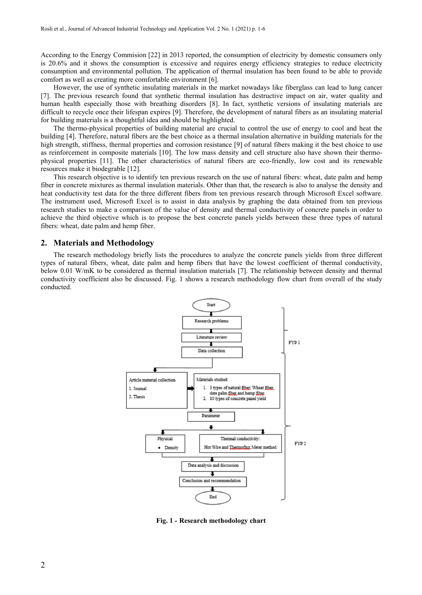According to the Energy Commision [22] in 2013 reported, the consumption of electricity by domestic consumers only is 20.6% and it shows the consumption is excessive and requires energy efficiency strategies to reduce electricity consumption and environmental pollution. The application of thermal insulation has been found to be able to provide comfort as well as creating more comfortable environment [6].

However, the use of synthetic insulating materials in the market nowadays like fiberglass can lead to lung cancer [7]. The previous research found that synthetic thermal insulation has destructive impact on air, water quality and human health especially those with breathing disorders [8]. In fact, synthetic versions of insulating materials are difficult to recycle once their lifespan expires [9]. Therefore, the development of natural fibers as an insulating material for building materials is a thoughtful idea and should be highlighted.

The thermo-physical properties of building material are crucial to control the use of energy to cool and heat the building [4]. Therefore, natural fibers are the best choice as a thermal insulation alternative in building materials for the high strength, stiffness, thermal properties and corrosion resistance [9] of natural fibers making it the best choice to use as reinforcement in composite materials [10]. The low mass density and cell structure also have shown their thermo physical properties [11]. The other characteristics of natural fibers are eco-friendly, low cost and its renewable resources make it biodegrable [12].

This research objective is to identify ten previous research on the use of natural fibers: wheat, date palm and hemp fiber in concrete mixtures as thermal insulation materials. Other than that, the research is also to analyse the density and heat conductivity test data for the three different fibers from ten previous research through Microsoft Excel software. The instrument used, Microsoft Excel is to assist in data analysis by graphing the data obtained from ten previous research studies to make a comparison of the value of density and thermal conductivity of concrete panels in order to achieve the third objective which is to propose the best concrete panels yields between these three types of natural fibers: wheat, date palm and hemp fiber.

## **2. Materials and Methodology**

The research methodology briefly lists the procedures to analyze the concrete panels yields from three different types of natural fibers, wheat, date palm and hemp fibers that have the lowest coefficient of thermal conductivity, below 0.01 W/mK to be considered as thermal insulation materials [7]. The relationship between density and thermal conductivity coefficient also be discussed. Fig. 1 shows a research methodology flow chart from overall of the study conducted.



**Fig. 1 - Research methodology chart**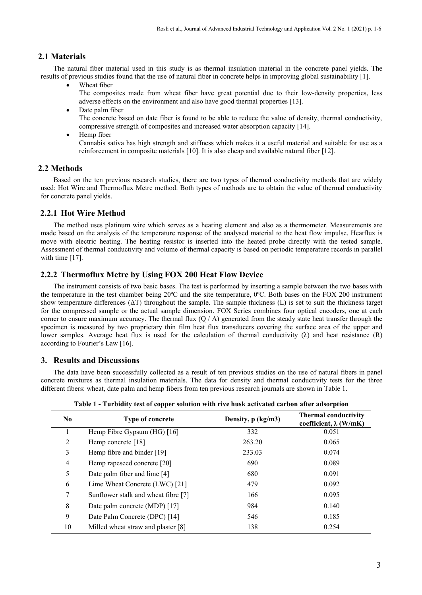# **2.1 Materials**

The natural fiber material used in this study is as thermal insulation material in the concrete panel yields. The results of previous studies found that the use of natural fiber in concrete helps in improving global sustainability [1].

- Wheat fiber The composites made from wheat fiber have great potential due to their low-density properties, less adverse effects on the environment and also have good thermal properties [13].
- Date palm fiber The concrete based on date fiber is found to be able to reduce the value of density, thermal conductivity, compressive strength of composites and increased water absorption capacity [14].
- Hemp fiber Cannabis sativa has high strength and stiffness which makes it a useful material and suitable for use as a reinforcement in composite materials [10]. It is also cheap and available natural fiber [12].

## **2.2 Methods**

Based on the ten previous research studies, there are two types of thermal conductivity methods that are widely used: Hot Wire and Thermoflux Metre method. Both types of methods are to obtain the value of thermal conductivity for concrete panel yields.

# **2.2.1 Hot Wire Method**

The method uses platinum wire which serves as a heating element and also as a thermometer. Measurements are made based on the analysis of the temperature response of the analysed material to the heat flow impulse. Heatflux is move with electric heating. The heating resistor is inserted into the heated probe directly with the tested sample. Assessment of thermal conductivity and volume of thermal capacity is based on periodic temperature records in parallel with time [17].

# **2.2.2 Thermoflux Metre by Using FOX 200 Heat Flow Device**

The instrument consists of two basic bases. The test is performed by inserting a sample between the two bases with the temperature in the test chamber being 20ºC and the site temperature, 0ºC. Both bases on the FOX 200 instrument show temperature differences  $(\Delta T)$  throughout the sample. The sample thickness  $(L)$  is set to suit the thickness target for the compressed sample or the actual sample dimension. FOX Series combines four optical encoders, one at each corner to ensure maximum accuracy. The thermal flux  $(Q / A)$  generated from the steady state heat transfer through the specimen is measured by two proprietary thin film heat flux transducers covering the surface area of the upper and lower samples. Average heat flux is used for the calculation of thermal conductivity  $(\lambda)$  and heat resistance  $(R)$ according to Fourier's Law [16].

#### **3. Results and Discussions**

The data have been successfully collected as a result of ten previous studies on the use of natural fibers in panel concrete mixtures as thermal insulation materials. The data for density and thermal conductivity tests for the three different fibers: wheat, date palm and hemp fibers from ten previous research journals are shown in Table 1.

| N <sub>0</sub> | <b>Type of concrete</b>             | Density, p (kg/m3) | <b>Thermal conductivity</b><br>coefficient, $\lambda$ (W/mK) |
|----------------|-------------------------------------|--------------------|--------------------------------------------------------------|
|                | Hemp Fibre Gypsum (HG) [16]         | 332                | 0.051                                                        |
| 2              | Hemp concrete $[18]$                | 263.20             | 0.065                                                        |
| 3              | Hemp fibre and binder [19]          | 233.03             | 0.074                                                        |
| 4              | Hemp rapeseed concrete [20]         | 690                | 0.089                                                        |
| 5              | Date palm fiber and lime [4]        | 680                | 0.091                                                        |
| 6              | Lime Wheat Concrete (LWC) [21]      | 479                | 0.092                                                        |
| 7              | Sunflower stalk and wheat fibre [7] | 166                | 0.095                                                        |
| 8              | Date palm concrete (MDP) [17]       | 984                | 0.140                                                        |
| 9              | Date Palm Concrete (DPC) [14]       | 546                | 0.185                                                        |
| 10             | Milled wheat straw and plaster [8]  | 138                | 0.254                                                        |

**Table 1 - Turbidity test of copper solution with rive husk activated carbon after adsorption**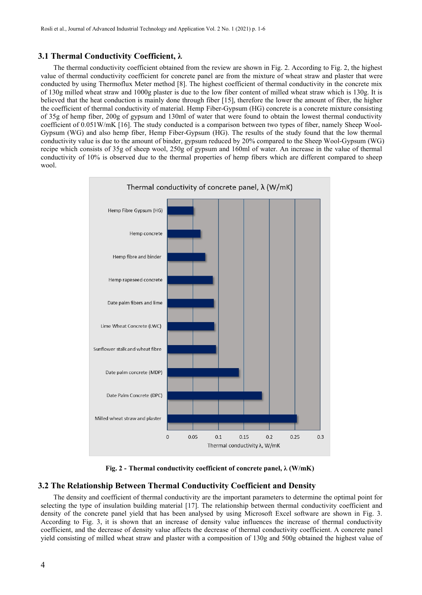# **3.1 Thermal Conductivity Coefficient, λ**

The thermal conductivity coefficient obtained from the review are shown in Fig. 2. According to Fig. 2, the highest value of thermal conductivity coefficient for concrete panel are from the mixture of wheat straw and plaster that were conducted by using Thermoflux Meter method [8]. The highest coefficient of thermal conductivity in the concrete mix of 130g milled wheat straw and 1000g plaster is due to the low fiber content of milled wheat straw which is 130g. It is believed that the heat conduction is mainly done through fiber [15], therefore the lower the amount of fiber, the higher the coefficient of thermal conductivity of material. Hemp Fiber-Gypsum (HG) concrete is a concrete mixture consisting of 35g of hemp fiber, 200g of gypsum and 130ml of waterthat were found to obtain the lowest thermal conductivity coefficient of 0.051W/mK [16]. The study conducted is a comparison between two types of fiber, namely Sheep Wool- Gypsum (WG) and also hemp fiber, Hemp Fiber-Gypsum (HG). The results of the study found that the low thermal conductivity value is due to the amount of binder, gypsum reduced by 20% compared to the Sheep Wool-Gypsum (WG) recipe which consists of 35g of sheep wool, 250g of gypsum and 160ml of water. An increase in the value of thermal conductivity of 10% is observed due to the thermal properties of hemp fibers which are different compared to sheep wool.



**Fig. 2 - Thermal conductivity coefficient of concrete panel, λ (W/mK)**

## **3.2 The Relationship Between Thermal Conductivity Coefficient and Density**

The density and coefficient of thermal conductivity are the important parameters to determine the optimal point for selecting the type of insulation building material [17]. The relationship between thermal conductivity coefficient and density of the concrete panel yield that has been analysed by using Microsoft Excel software are shown in Fig. 3. According to Fig. 3, it is shown that an increase of density value influences the increase of thermal conductivity coefficient, and the decrease of density value affects the decrease of thermal conductivity coefficient. A concrete panel yield consisting of milled wheat straw and plaster with a composition of 130g and 500g obtained the highest value of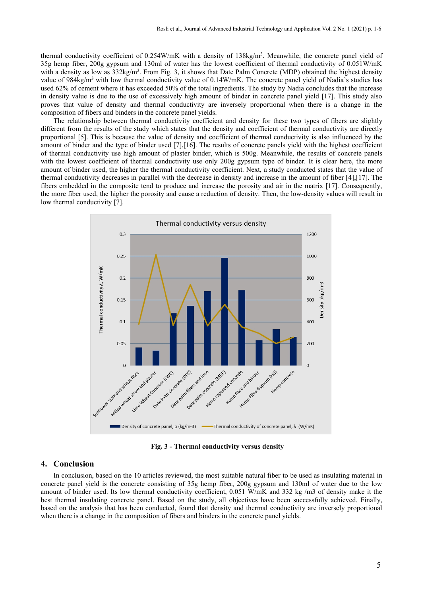thermal conductivity coefficient of 0.254W/mK with a density of 138kg/m<sup>3</sup>. Meanwhile, the concrete panel yield of 35g hemp fiber, 200g gypsum and 130ml of waterhas the lowest coefficient of thermal conductivity of 0.051W/mK with a density as low as 332kg/m<sup>3</sup>. From Fig. 3, it shows that Date Palm Concrete (MDP) obtained the highest density value of  $984\text{kg/m}^3$  with low thermal conductivity value of  $0.14\text{W/mK}$ . The concrete panel yield of Nadia's studies has used 62% of cement where it has exceeded 50% of the total ingredients. The study by Nadia concludes that the increase in density value is due to the use of excessively high amount of binder in concrete panel yield [17]. This study also proves that value of density and thermal conductivity are inversely proportional when there is a change in the composition of fibers and binders in the concrete panel yields.

The relationship between thermal conductivity coefficient and density for these two types of fibers are slightly different from the results of the study which states that the density and coefficient of thermal conductivity are directly proportional [5]. This is because the value of density and coefficient of thermal conductivity is also influenced by the amount of binder and the type of binder used  $[7]$ , $[16]$ . The results of concrete panels yield with the highest coefficient of thermal conductivity use high amount of plaster binder, which is 500g.Meanwhile, the results of concrete panels with the lowest coefficient of thermal conductivity use only 200g gypsum type of binder. It is clear here, the more amount of binder used, the higher the thermal conductivity coefficient. Next, a study conducted states that the value of thermal conductivity decreases in parallel with the decrease in density and increase in the amount of fiber [4],[17]. The fibers embedded in the composite tend to produce and increase the porosity and air in the matrix [17]. Consequently, the more fiber used, the higher the porosity and cause a reduction of density. Then, the low-density values will result in low thermal conductivity [7].



**Fig. 3 - Thermal conductivity versus density**

### **4. Conclusion**

In conclusion, based on the 10 articles reviewed, the most suitable natural fiber to be used as insulating material in concrete panel yield is the concrete consisting of 35g hemp fiber, 200g gypsum and 130ml of water due to the low amount of binder used. Its low thermal conductivity coefficient, 0.051 W/mK and 332 kg /m3 of density make it the best thermal insulating concrete panel. Based on the study, all objectives have been successfully achieved. Finally, based on the analysis that has been conducted, found that density and thermal conductivity are inversely proportional when there is a change in the composition of fibers and binders in the concrete panel yields.